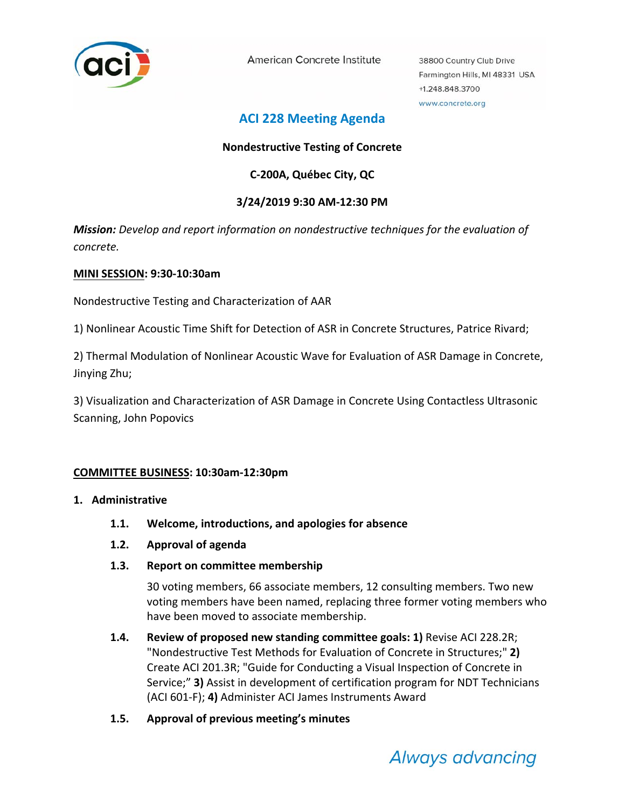

American Concrete Institute

38800 Country Club Drive Farmington Hills, MI 48331 USA +1.248.848.3700 www.concrete.org

# **ACI 228 Meeting Agenda**

## **Nondestructive Testing of Concrete**

## **C‐200A, Québec City, QC**

## **3/24/2019 9:30 AM‐12:30 PM**

*Mission: Develop and report information on nondestructive techniques for the evaluation of concrete.*

#### **MINI SESSION: 9:30‐10:30am**

Nondestructive Testing and Characterization of AAR

1) Nonlinear Acoustic Time Shift for Detection of ASR in Concrete Structures, Patrice Rivard;

2) Thermal Modulation of Nonlinear Acoustic Wave for Evaluation of ASR Damage in Concrete, Jinying Zhu;

3) Visualization and Characterization of ASR Damage in Concrete Using Contactless Ultrasonic Scanning, John Popovics

#### **COMMITTEE BUSINESS: 10:30am‐12:30pm**

#### **1. Administrative**

- **1.1. Welcome, introductions, and apologies for absence**
- **1.2. Approval of agenda**
- **1.3. Report on committee membership**

30 voting members, 66 associate members, 12 consulting members. Two new voting members have been named, replacing three former voting members who have been moved to associate membership.

- **1.4. Review of proposed new standing committee goals: 1)** Revise ACI 228.2R; "Nondestructive Test Methods for Evaluation of Concrete in Structures;" **2)** Create ACI 201.3R; "Guide for Conducting a Visual Inspection of Concrete in Service;" **3)** Assist in development of certification program for NDT Technicians (ACI 601‐F); **4)** Administer ACI James Instruments Award
- **1.5. Approval of previous meeting's minutes**